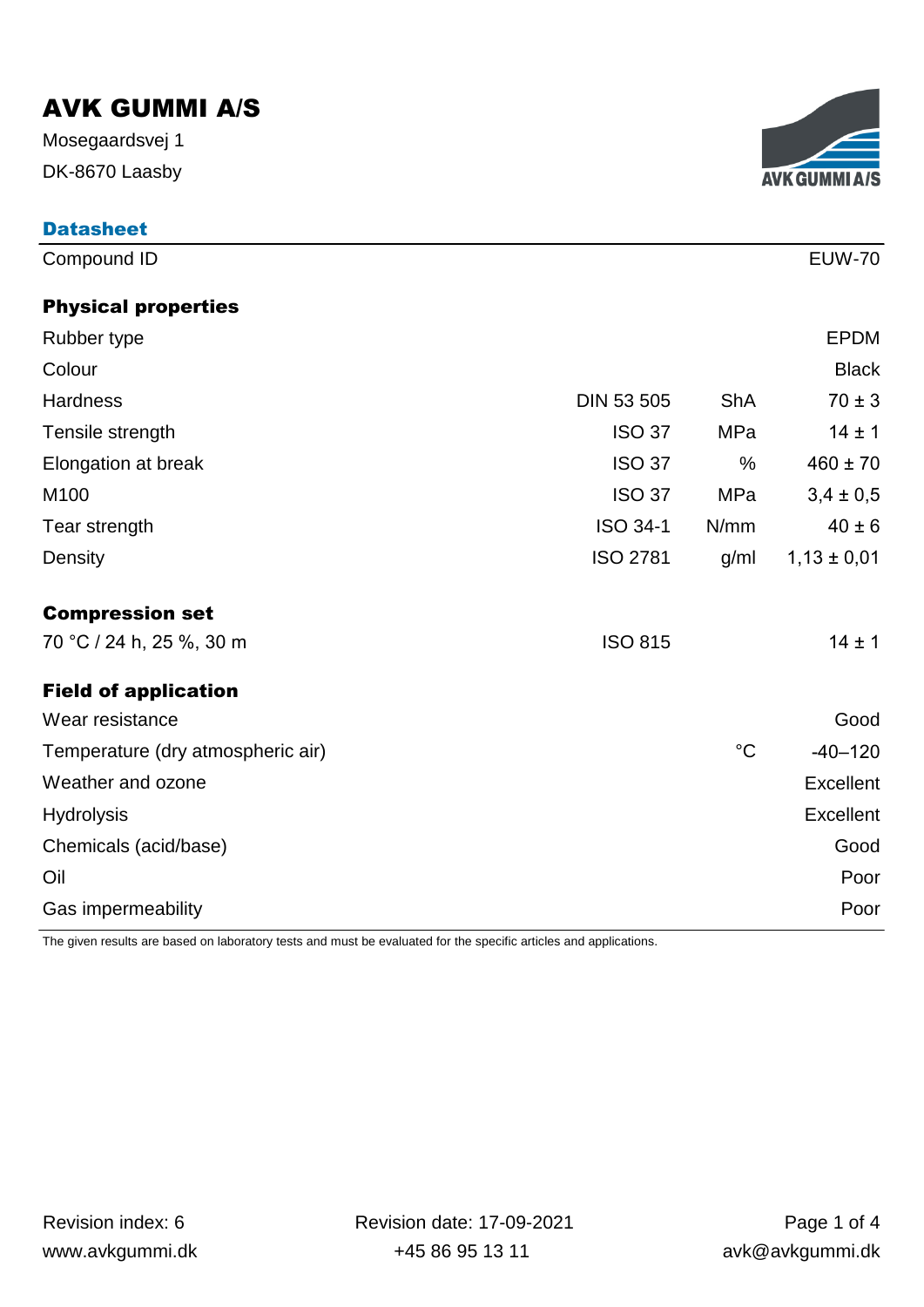DK-8670 Laasby Mosegaardsvej 1

**Datasheet** 



| Compound ID                       |                   |                 | <b>EUW-70</b>    |
|-----------------------------------|-------------------|-----------------|------------------|
| <b>Physical properties</b>        |                   |                 |                  |
| Rubber type                       |                   |                 | <b>EPDM</b>      |
| Colour                            |                   |                 | <b>Black</b>     |
| <b>Hardness</b>                   | <b>DIN 53 505</b> | <b>ShA</b>      | $70 \pm 3$       |
| Tensile strength                  | <b>ISO 37</b>     | MPa             | $14 \pm 1$       |
| Elongation at break               | <b>ISO 37</b>     | $\frac{0}{0}$   | $460 \pm 70$     |
| M100                              | <b>ISO 37</b>     | <b>MPa</b>      | $3,4 \pm 0,5$    |
| Tear strength                     | <b>ISO 34-1</b>   | N/mm            | $40 \pm 6$       |
| Density                           | <b>ISO 2781</b>   | g/ml            | $1,13 \pm 0,01$  |
| <b>Compression set</b>            |                   |                 |                  |
| 70 °C / 24 h, 25 %, 30 m          | <b>ISO 815</b>    |                 | $14 \pm 1$       |
| <b>Field of application</b>       |                   |                 |                  |
| Wear resistance                   |                   |                 | Good             |
| Temperature (dry atmospheric air) |                   | $\rm ^{\circ}C$ | $-40-120$        |
| Weather and ozone                 |                   |                 | Excellent        |
| <b>Hydrolysis</b>                 |                   |                 | <b>Excellent</b> |
| Chemicals (acid/base)             |                   |                 | Good             |
| Oil                               |                   |                 | Poor             |
| Gas impermeability                |                   |                 | Poor             |

The given results are based on laboratory tests and must be evaluated for the specific articles and applications.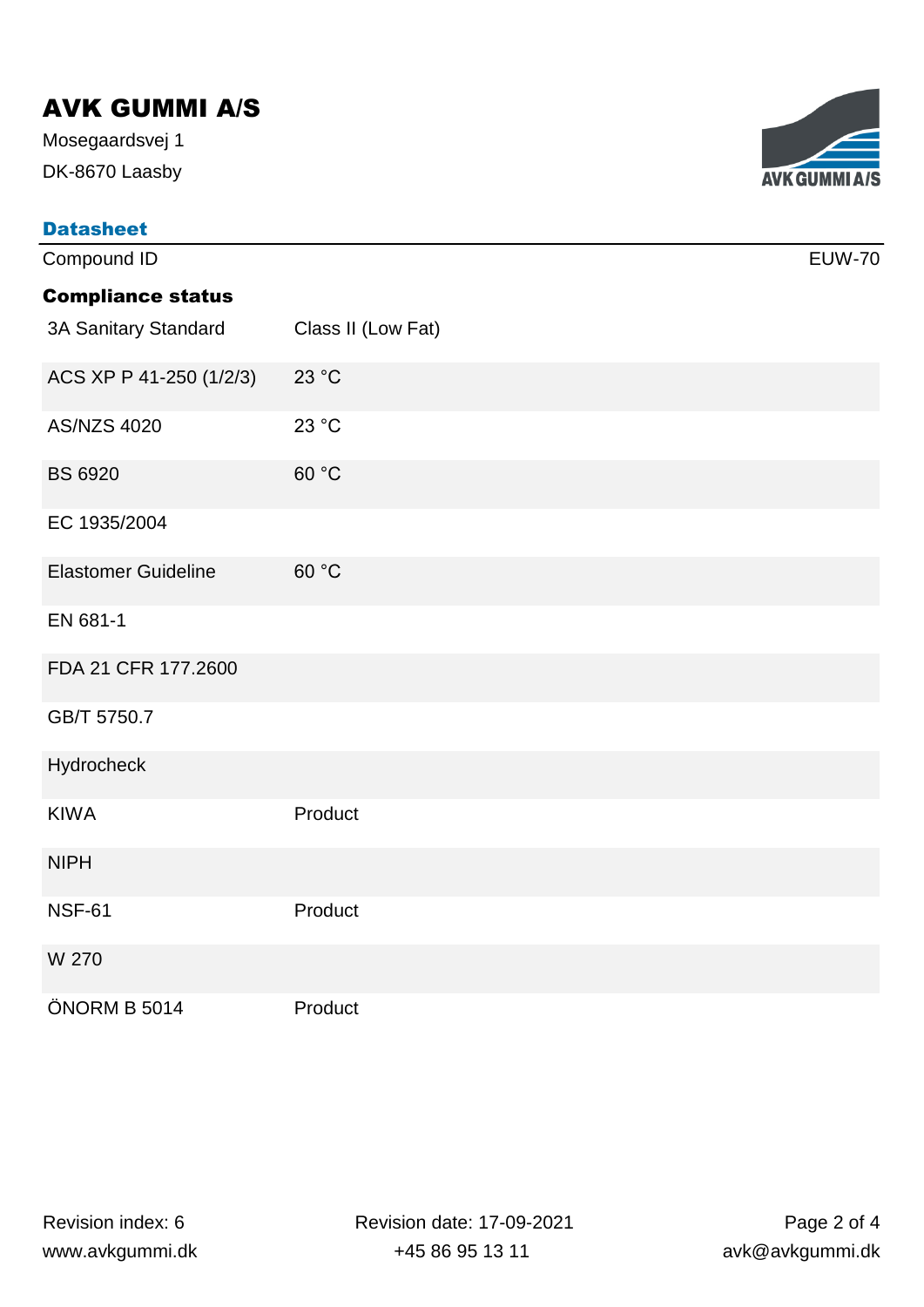DK-8670 Laasby Mosegaardsvej 1

| <b>Datasheet</b>           |                    |               |
|----------------------------|--------------------|---------------|
| Compound ID                |                    | <b>EUW-70</b> |
| <b>Compliance status</b>   |                    |               |
| 3A Sanitary Standard       | Class II (Low Fat) |               |
| ACS XP P 41-250 (1/2/3)    | 23 °C              |               |
| <b>AS/NZS 4020</b>         | 23 °C              |               |
| <b>BS 6920</b>             | 60 °C              |               |
| EC 1935/2004               |                    |               |
| <b>Elastomer Guideline</b> | 60 °C              |               |
| EN 681-1                   |                    |               |
| FDA 21 CFR 177.2600        |                    |               |
| GB/T 5750.7                |                    |               |
| Hydrocheck                 |                    |               |
| <b>KIWA</b>                | Product            |               |
| <b>NIPH</b>                |                    |               |
| <b>NSF-61</b>              | Product            |               |
| W 270                      |                    |               |
| ÖNORM B 5014               | Product            |               |

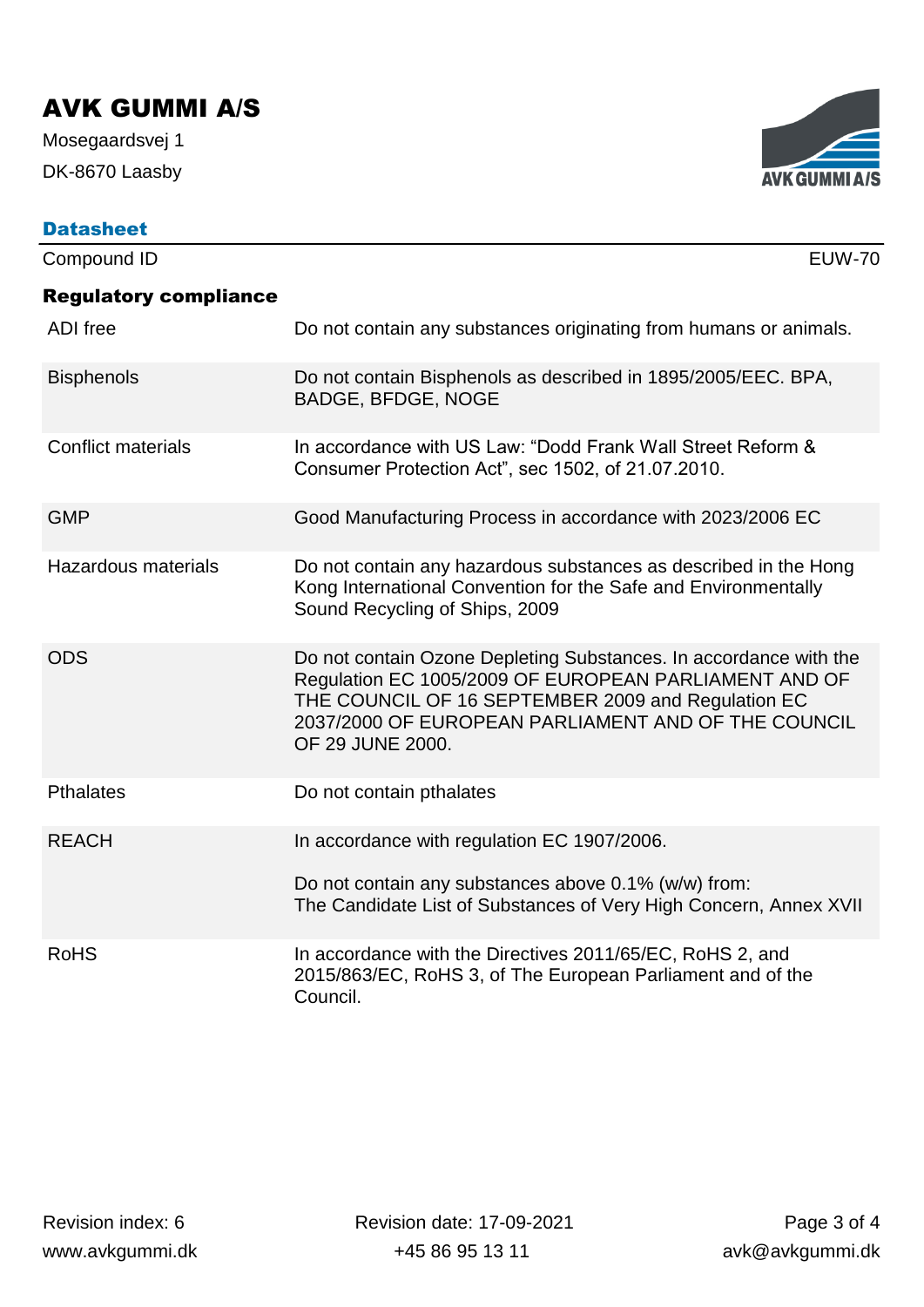DK-8670 Laasby Mosegaardsvej 1

| <b>AVK GUMMI A/S</b> |
|----------------------|

| <b>Datasheet</b>             |                                                                                                                                                                                                                                                             |
|------------------------------|-------------------------------------------------------------------------------------------------------------------------------------------------------------------------------------------------------------------------------------------------------------|
| Compound ID                  | <b>EUW-70</b>                                                                                                                                                                                                                                               |
| <b>Regulatory compliance</b> |                                                                                                                                                                                                                                                             |
| <b>ADI</b> free              | Do not contain any substances originating from humans or animals.                                                                                                                                                                                           |
| <b>Bisphenols</b>            | Do not contain Bisphenols as described in 1895/2005/EEC. BPA,<br><b>BADGE, BFDGE, NOGE</b>                                                                                                                                                                  |
| <b>Conflict materials</b>    | In accordance with US Law: "Dodd Frank Wall Street Reform &<br>Consumer Protection Act", sec 1502, of 21.07.2010.                                                                                                                                           |
| <b>GMP</b>                   | Good Manufacturing Process in accordance with 2023/2006 EC                                                                                                                                                                                                  |
| <b>Hazardous materials</b>   | Do not contain any hazardous substances as described in the Hong<br>Kong International Convention for the Safe and Environmentally<br>Sound Recycling of Ships, 2009                                                                                        |
| <b>ODS</b>                   | Do not contain Ozone Depleting Substances. In accordance with the<br>Regulation EC 1005/2009 OF EUROPEAN PARLIAMENT AND OF<br>THE COUNCIL OF 16 SEPTEMBER 2009 and Regulation EC<br>2037/2000 OF EUROPEAN PARLIAMENT AND OF THE COUNCIL<br>OF 29 JUNE 2000. |
| <b>Pthalates</b>             | Do not contain pthalates                                                                                                                                                                                                                                    |
| <b>REACH</b>                 | In accordance with regulation EC 1907/2006.<br>Do not contain any substances above 0.1% (w/w) from:<br>The Candidate List of Substances of Very High Concern, Annex XVII                                                                                    |
| <b>RoHS</b>                  | In accordance with the Directives 2011/65/EC, RoHS 2, and<br>2015/863/EC, RoHS 3, of The European Parliament and of the<br>Council.                                                                                                                         |